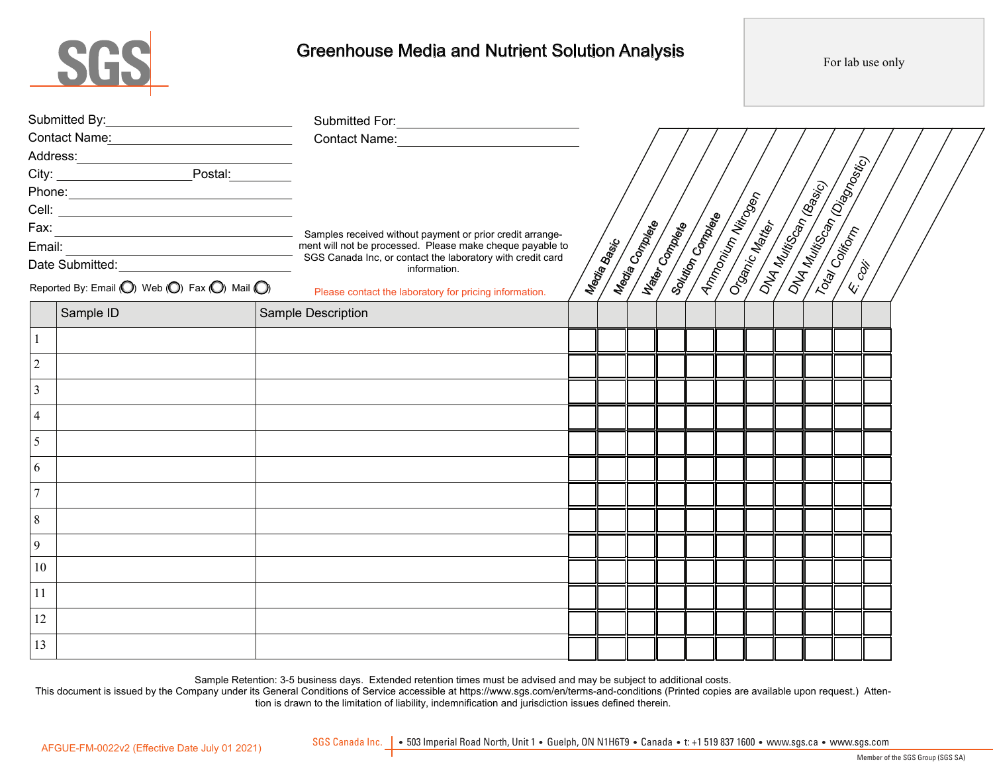

# Greenhouse Media and Nutrient Solution Analysis

For lab use only

|                                                                                                               |                                                 |                    | Submitted For:                                         |  |  |  |  |      |  |  |
|---------------------------------------------------------------------------------------------------------------|-------------------------------------------------|--------------------|--------------------------------------------------------|--|--|--|--|------|--|--|
|                                                                                                               |                                                 | Contact Name: 2008 | Contact Name: <u>__________________________</u>        |  |  |  |  |      |  |  |
|                                                                                                               |                                                 |                    |                                                        |  |  |  |  |      |  |  |
|                                                                                                               |                                                 |                    |                                                        |  |  |  |  |      |  |  |
| Phone: 2008 2010 2010 2010 2010 2010 2011 2020 2021 2021 2022 2022 2022 2023 2024 2022 2023 2024 2022 2023 20 |                                                 |                    |                                                        |  |  |  |  |      |  |  |
|                                                                                                               |                                                 |                    |                                                        |  |  |  |  |      |  |  |
|                                                                                                               |                                                 |                    |                                                        |  |  |  |  |      |  |  |
|                                                                                                               |                                                 |                    |                                                        |  |  |  |  |      |  |  |
|                                                                                                               |                                                 |                    | information.                                           |  |  |  |  | ERIS |  |  |
|                                                                                                               | Reported By: Email (O) Web (O) Fax (O) Mail (O) |                    | Please contact the laboratory for pricing information. |  |  |  |  |      |  |  |
|                                                                                                               | Sample ID                                       |                    | Sample Description                                     |  |  |  |  |      |  |  |
|                                                                                                               |                                                 |                    |                                                        |  |  |  |  |      |  |  |
| $\sqrt{2}$                                                                                                    |                                                 |                    |                                                        |  |  |  |  |      |  |  |
| $\overline{3}$                                                                                                |                                                 |                    |                                                        |  |  |  |  |      |  |  |
| $\overline{4}$                                                                                                |                                                 |                    |                                                        |  |  |  |  |      |  |  |
| 5                                                                                                             |                                                 |                    |                                                        |  |  |  |  |      |  |  |
| 6                                                                                                             |                                                 |                    |                                                        |  |  |  |  |      |  |  |
| $\overline{7}$                                                                                                |                                                 |                    |                                                        |  |  |  |  |      |  |  |
| $\,8\,$                                                                                                       |                                                 |                    |                                                        |  |  |  |  |      |  |  |
| 9                                                                                                             |                                                 |                    |                                                        |  |  |  |  |      |  |  |
| 10                                                                                                            |                                                 |                    |                                                        |  |  |  |  |      |  |  |
| 11                                                                                                            |                                                 |                    |                                                        |  |  |  |  |      |  |  |
| 12                                                                                                            |                                                 |                    |                                                        |  |  |  |  |      |  |  |
| 13                                                                                                            |                                                 |                    |                                                        |  |  |  |  |      |  |  |

Sample Retention: 3-5 business days. Extended retention times must be advised and may be subject to additional costs.

This document is issued by the Company under its General Conditions of Service accessible at https://www.sgs.com/en/terms-and-conditions (Printed copies are available upon request.) Attention is drawn to the limitation of liability, indemnification and jurisdiction issues defined therein.